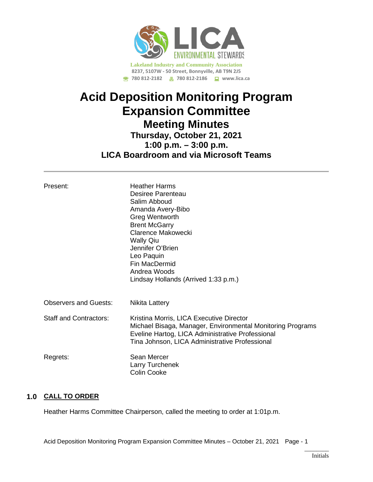

# **Acid Deposition Monitoring Program Expansion Committee Meeting Minutes Thursday, October 21, 2021 1:00 p.m. – 3:00 p.m. LICA Boardroom and via Microsoft Teams**

| Present:                      | <b>Heather Harms</b><br>Desiree Parenteau<br>Salim Abboud<br>Amanda Avery-Bibo<br><b>Greg Wentworth</b><br><b>Brent McGarry</b><br>Clarence Makowecki<br><b>Wally Qiu</b><br>Jennifer O'Brien<br>Leo Paquin<br>Fin MacDermid<br>Andrea Woods<br>Lindsay Hollands (Arrived 1:33 p.m.) |
|-------------------------------|--------------------------------------------------------------------------------------------------------------------------------------------------------------------------------------------------------------------------------------------------------------------------------------|
| <b>Observers and Guests:</b>  | Nikita Lattery                                                                                                                                                                                                                                                                       |
| <b>Staff and Contractors:</b> | Kristina Morris, LICA Executive Director<br>Michael Bisaga, Manager, Environmental Monitoring Programs<br>Eveline Hartog, LICA Administrative Professional<br>Tina Johnson, LICA Administrative Professional                                                                         |
| Regrets:                      | Sean Mercer<br>Larry Turchenek<br><b>Colin Cooke</b>                                                                                                                                                                                                                                 |

## **1.0 CALL TO ORDER**

Heather Harms Committee Chairperson, called the meeting to order at 1:01p.m.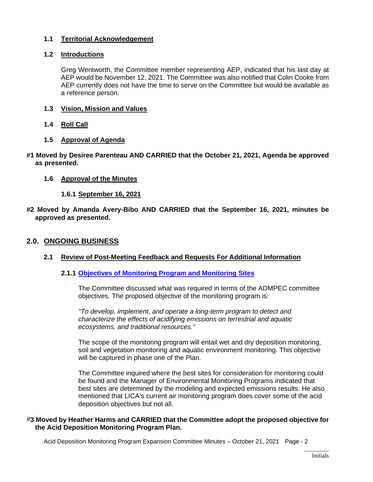## **1.1 Territorial Acknowledgement**

## **1.2 Introductions**

Greg Wentworth, the Committee member representing AEP, indicated that his last day at AEP would be November 12, 2021. The Committee was also notified that Colin Cooke from AEP currently does not have the time to serve on the Committee but would be available as a reference person.

- **1.3 Vision, Mission and Values**
- **1.4 Roll Call**
- **1.5 Approval of Agenda**
- **#1 Moved by Desiree Parenteau AND CARRIED that the October 21, 2021, Agenda be approved as presented.**
	- **1.6 Approval of the Minutes** 
		- **1.6.1 September 16, 2021**
- **#2 Moved by Amanda Avery-Bibo AND CARRIED that the September 16, 2021, minutes be approved as presented.**

## **2.0. ONGOING BUSINESS**

#### **2.1 Review of Post-Meeting Feedback and Requests For Additional Information**

#### **2.1.1 Objectives [of Monitoring Program](https://lica2.sharepoint.com/:b:/s/Office/EX8miDcqvwpLkONO0MkGxQAB4610AYlYDXXxKqDmAuMt4g?e=Yf5gI4) and Monitoring Sites**

The Committee discussed what was required in terms of the ADMPEC committee objectives. The proposed objective of the monitoring program is:

*"To develop, implement, and operate a long-term program to detect and characterize the effects of acidifying emissions on terrestrial and aquatic ecosystems, and traditional resources."*

The scope of the monitoring program will entail wet and dry deposition monitoring, soil and vegetation monitoring and aquatic environment monitoring. This objective will be captured in phase one of the Plan.

The Committee inquired where the best sites for consideration for monitoring could be found and the Manager of Environmental Monitoring Programs indicated that best sites are determined by the modeling and expected emissions results. He also mentioned that LICA's current air monitoring program does cover some of the acid deposition objectives but not all.

#### #**3 Moved by Heather Harms and CARRIED that the Committee adopt the proposed objective for the Acid Deposition Monitoring Program Plan.**

Acid Deposition Monitoring Program Expansion Committee Minutes – October 21, 2021 Page - 2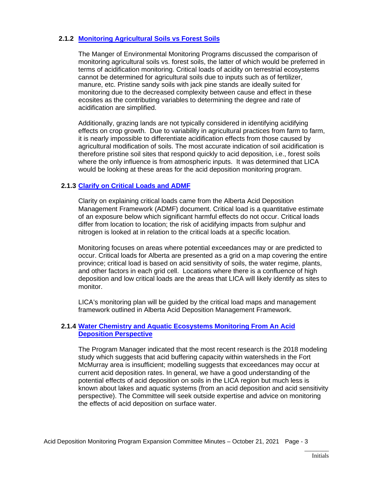## **2.1.2 [Monitoring Agricultural](https://lica2.sharepoint.com/:b:/s/Office/EZaFGK4RTdZFnnyTIrttBP0BB2eU277EBPTn6NXy9LSS4Q?e=EKyrZf) Soils vs Forest Soils**

The Manger of Environmental Monitoring Programs discussed the comparison of monitoring agricultural soils vs. forest soils, the latter of which would be preferred in terms of acidification monitoring. Critical loads of acidity on terrestrial ecosystems cannot be determined for agricultural soils due to inputs such as of fertilizer, manure, etc. Pristine sandy soils with jack pine stands are ideally suited for monitoring due to the decreased complexity between cause and effect in these ecosites as the contributing variables to determining the degree and rate of acidification are simplified.

Additionally, grazing lands are not typically considered in identifying acidifying effects on crop growth. Due to variability in agricultural practices from farm to farm, it is nearly impossible to differentiate acidification effects from those caused by agricultural modification of soils. The most accurate indication of soil acidification is therefore pristine soil sites that respond quickly to acid deposition, i.e., forest soils where the only influence is from atmospheric inputs. It was determined that LICA would be looking at these areas for the acid deposition monitoring program.

## **2.1.3 [Clarify on Critical Loads and ADMF](https://lica2.sharepoint.com/:b:/s/Office/EXI3nAT_MGJIssYzfnTZxPABQLsH8_0LBhirbrT5IYtKsg?e=IVhBmW)**

Clarity on explaining critical loads came from the Alberta Acid Deposition Management Framework (ADMF) document. Critical load is a quantitative estimate of an exposure below which significant harmful effects do not occur. Critical loads differ from location to location; the risk of acidifying impacts from sulphur and nitrogen is looked at in relation to the critical loads at a specific location.

Monitoring focuses on areas where potential exceedances may or are predicted to occur. Critical loads for Alberta are presented as a grid on a map covering the entire province; critical load is based on acid sensitivity of soils, the water regime, plants, and other factors in each grid cell. Locations where there is a confluence of high deposition and low critical loads are the areas that LICA will likely identify as sites to monitor.

LICA's monitoring plan will be guided by the critical load maps and management framework outlined in Alberta Acid Deposition Management Framework.

#### **2.1.4 [Water Chemistry and Aquatic Ecosystems Monitoring From An Acid](https://lica2.sharepoint.com/:b:/s/Office/ESB2YII-t1NMsoG3qBYf18wBqWcgPaXnR869LmN7SA0DMQ?e=WsfbhL)  [Deposition Perspective](https://lica2.sharepoint.com/:b:/s/Office/ESB2YII-t1NMsoG3qBYf18wBqWcgPaXnR869LmN7SA0DMQ?e=WsfbhL)**

The Program Manager indicated that the most recent research is the 2018 modeling study which suggests that acid buffering capacity within watersheds in the Fort McMurray area is insufficient; modelling suggests that exceedances may occur at current acid deposition rates. In general, we have a good understanding of the potential effects of acid deposition on soils in the LICA region but much less is known about lakes and aquatic systems (from an acid deposition and acid sensitivity perspective). The Committee will seek outside expertise and advice on monitoring the effects of acid deposition on surface water.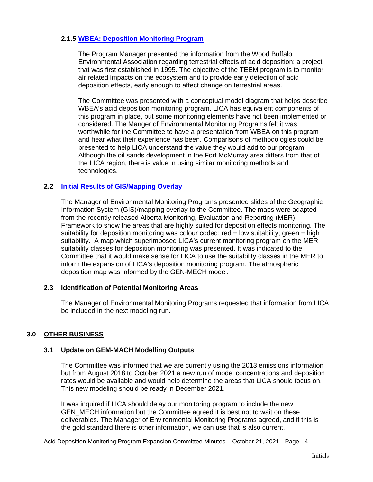## **2.1.5 [WBEA: Deposition Monitoring Program](https://lica2.sharepoint.com/:b:/s/Office/EeFPDYiffohEhG6qApsdQhMBcrt4YkpyiKynP5Ka2PWgmQ?e=4z3Z6I)**

The Program Manager presented the information from the Wood Buffalo Environmental Association regarding terrestrial effects of acid deposition; a project that was first established in 1995. The objective of the TEEM program is to monitor air related impacts on the ecosystem and to provide early detection of acid deposition effects, early enough to affect change on terrestrial areas.

The Committee was presented with a conceptual model diagram that helps describe WBEA's acid deposition monitoring program. LICA has equivalent components of this program in place, but some monitoring elements have not been implemented or considered. The Manger of Environmental Monitoring Programs felt it was worthwhile for the Committee to have a presentation from WBEA on this program and hear what their experience has been. Comparisons of methodologies could be presented to help LICA understand the value they would add to our program. Although the oil sands development in the Fort McMurray area differs from that of the LICA region, there is value in using similar monitoring methods and technologies.

#### **2.2 [Initial Results of GIS/Mapping Overlay](https://lica2.sharepoint.com/:b:/s/Office/EY7K8p0dkyRGpY3MZ1I7KN8B9SX-Wk3wyHynRWTpqrjxqg?e=R7iaSP)**

The Manager of Environmental Monitoring Programs presented slides of the Geographic Information System (GIS)/mapping overlay to the Committee. The maps were adapted from the recently released Alberta Monitoring, Evaluation and Reporting (MER) Framework to show the areas that are highly suited for deposition effects monitoring. The suitability for deposition monitoring was colour coded:  $red = low$  suitability; green  $= high$ suitability. A map which superimposed LICA's current monitoring program on the MER suitability classes for deposition monitoring was presented. It was indicated to the Committee that it would make sense for LICA to use the suitability classes in the MER to inform the expansion of LICA's deposition monitoring program. The atmospheric deposition map was informed by the GEN-MECH model.

## **2.3 Identification of Potential Monitoring Areas**

The Manager of Environmental Monitoring Programs requested that information from LICA be included in the next modeling run.

## **3.0 OTHER BUSINESS**

## **3.1 Update on GEM-MACH Modelling Outputs**

The Committee was informed that we are currently using the 2013 emissions information but from August 2018 to October 2021 a new run of model concentrations and deposition rates would be available and would help determine the areas that LICA should focus on. This new modeling should be ready in December 2021.

It was inquired if LICA should delay our monitoring program to include the new GEN\_MECH information but the Committee agreed it is best not to wait on these deliverables. The Manager of Environmental Monitoring Programs agreed, and if this is the gold standard there is other information, we can use that is also current.

Acid Deposition Monitoring Program Expansion Committee Minutes – October 21, 2021 Page - 4